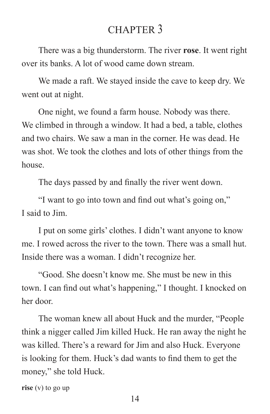## CHAPTER 3

There was a big thunderstorm. The river **rose**. It went right over its banks. A lot of wood came down stream.

We made a raft. We stayed inside the cave to keep dry. We went out at night.

One night, we found a farm house. Nobody was there. We climbed in through a window. It had a bed, a table, clothes and two chairs. We saw a man in the corner. He was dead. He was shot. We took the clothes and lots of other things from the house.

The days passed by and finally the river went down.

"I want to go into town and find out what's going on," I said to Jim.

I put on some girls' clothes. I didn't want anyone to know me. I rowed across the river to the town. There was a small hut. Inside there was a woman. I didn't recognize her.

"Good. She doesn't know me. She must be new in this town. I can find out what's happening," I thought. I knocked on her door.

The woman knew all about Huck and the murder, "People think a nigger called Jim killed Huck. He ran away the night he was killed. There's a reward for Jim and also Huck. Everyone is looking for them. Huck's dad wants to find them to get the money," she told Huck.

**rise** (v) to go up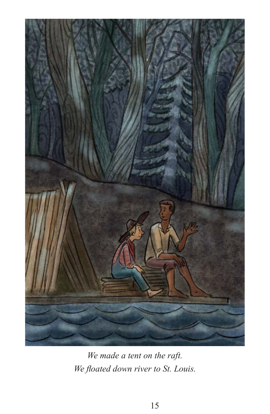

*We made a tent on the raft. We floated down river to St. Louis.*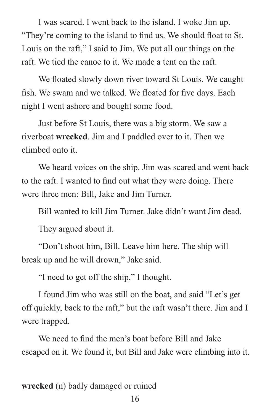I was scared. I went back to the island. I woke Jim up. "They're coming to the island to find us. We should float to St. Louis on the raft," I said to Jim. We put all our things on the raft. We tied the canoe to it. We made a tent on the raft.

We floated slowly down river toward St Louis. We caught fish. We swam and we talked. We floated for five days. Each night I went ashore and bought some food.

Just before St Louis, there was a big storm. We saw a riverboat **wrecked**. Jim and I paddled over to it. Then we climbed onto it.

We heard voices on the ship. Jim was scared and went back to the raft. I wanted to find out what they were doing. There were three men: Bill, Jake and Jim Turner.

Bill wanted to kill Jim Turner. Jake didn't want Jim dead.

They argued about it.

"Don't shoot him, Bill. Leave him here. The ship will break up and he will drown," Jake said.

"I need to get off the ship," I thought.

I found Jim who was still on the boat, and said "Let's get off quickly, back to the raft," but the raft wasn't there. Jim and I were trapped.

We need to find the men's boat before Bill and Jake escaped on it. We found it, but Bill and Jake were climbing into it.

**wrecked** (n) badly damaged or ruined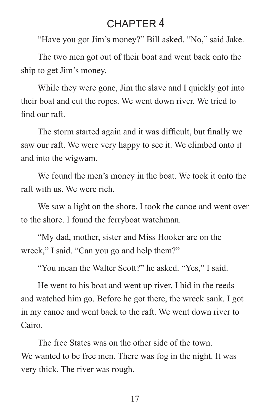# CHAPTER 4

"Have you got Jim's money?" Bill asked. "No," said Jake.

The two men got out of their boat and went back onto the ship to get Jim's money.

While they were gone, Jim the slave and I quickly got into their boat and cut the ropes. We went down river. We tried to find our raft.

The storm started again and it was difficult, but finally we saw our raft. We were very happy to see it. We climbed onto it and into the wigwam.

We found the men's money in the boat. We took it onto the raft with us. We were rich.

We saw a light on the shore. I took the canoe and went over to the shore. I found the ferryboat watchman.

"My dad, mother, sister and Miss Hooker are on the wreck," I said. "Can you go and help them?"

"You mean the Walter Scott?" he asked. "Yes," I said.

He went to his boat and went up river. I hid in the reeds and watched him go. Before he got there, the wreck sank. I got in my canoe and went back to the raft. We went down river to Cairo.

The free States was on the other side of the town. We wanted to be free men. There was fog in the night. It was very thick. The river was rough.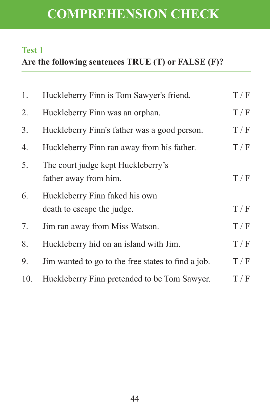# **COMPREHENSION CHECK**

#### **Test 1**

# **Are the following sentences TRUE (T) or FALSE (F)?**

| 1.  | Huckleberry Finn is Tom Sawyer's friend.                     | T/F |
|-----|--------------------------------------------------------------|-----|
| 2.  | Huckleberry Finn was an orphan.                              | T/F |
| 3.  | Huckleberry Finn's father was a good person.                 | T/F |
| 4.  | Huckleberry Finn ran away from his father.                   | T/F |
| 5.  | The court judge kept Huckleberry's<br>father away from him.  | T/F |
| 6.  | Huckleberry Finn faked his own<br>death to escape the judge. | T/F |
| 7.  | Jim ran away from Miss Watson.                               | T/F |
| 8.  | Huckleberry hid on an island with Jim.                       | T/F |
| 9.  | Jim wanted to go to the free states to find a job.           | T/F |
| 10. | Huckleberry Finn pretended to be Tom Sawyer.                 | T/F |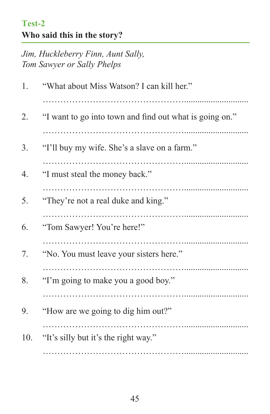### **Test-2 Who said this in the story?**

*Jim, Huckleberry Finn, Aunt Sally, Tom Sawyer or Sally Phelps*

| 1.  | "What about Miss Watson? I can kill her."               |
|-----|---------------------------------------------------------|
| 2.  | "I want to go into town and find out what is going on." |
| 3.  | "I'll buy my wife. She's a slave on a farm."            |
| 4.  | "I must steal the money back."                          |
| 5.  | "They're not a real duke and king."                     |
| 6.  | "Tom Sawyer! You're here!"                              |
| 7.  | "No. You must leave your sisters here."                 |
| 8.  | "I'm going to make you a good boy."                     |
| 9.  | "How are we going to dig him out?"                      |
| 10. | "It's silly but it's the right way."                    |
|     |                                                         |